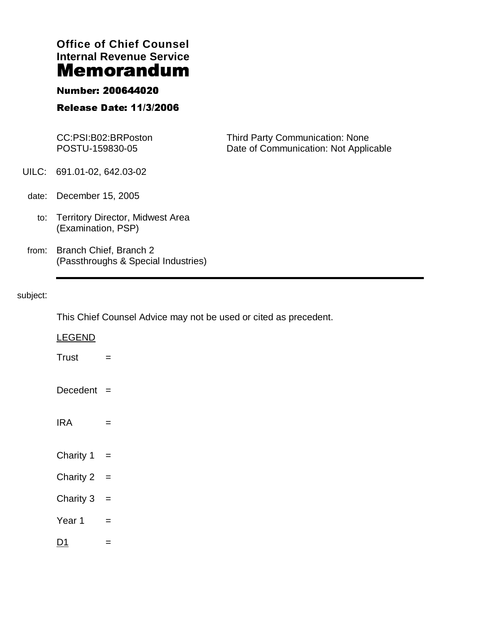# **Office of Chief Counsel Internal Revenue Service**

### Number: 200644020

## Release Date: 11/3/2006

|       | CC:PSI:B02:BRPoston<br>POSTU-159830-05                        | <b>Third Party Communication: None</b><br>Date of Communication: Not Applicable |
|-------|---------------------------------------------------------------|---------------------------------------------------------------------------------|
|       | UILC: 691.01-02, 642.03-02                                    |                                                                                 |
| date: | December 15, 2005                                             |                                                                                 |
|       | to: Territory Director, Midwest Area<br>(Examination, PSP)    |                                                                                 |
| from: | Branch Chief, Branch 2<br>(Passthroughs & Special Industries) |                                                                                 |

#### subject:

This Chief Counsel Advice may not be used or cited as precedent.

| <b>LEGEND</b> |                   |
|---------------|-------------------|
| <b>Trust</b>  | $\qquad \qquad =$ |
| Decedent =    |                   |
| <b>IRA</b>    | $=$               |
| Charity $1 =$ |                   |
| Charity $2 =$ |                   |
| Charity 3     | $=$               |
| Year 1        | $\equiv$          |
| D1            | $=$               |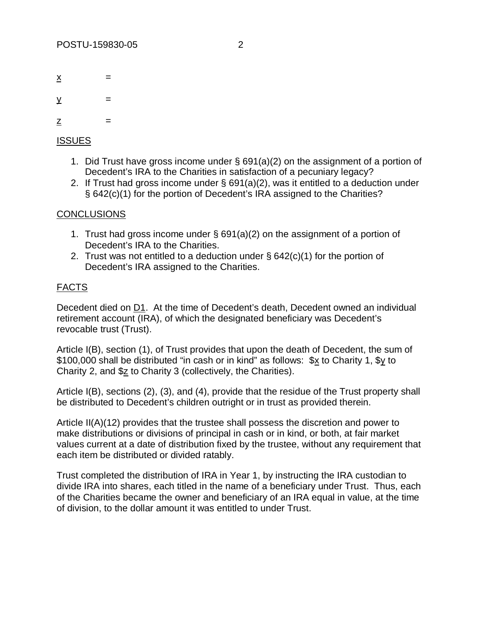$\times$  =

 $\underline{v}$  =

 $\mathbf{Z}$  =

#### **ISSUES**

- 1. Did Trust have gross income under § 691(a)(2) on the assignment of a portion of Decedent's IRA to the Charities in satisfaction of a pecuniary legacy?
- 2. If Trust had gross income under § 691(a)(2), was it entitled to a deduction under § 642(c)(1) for the portion of Decedent's IRA assigned to the Charities?

#### **CONCLUSIONS**

- 1. Trust had gross income under § 691(a)(2) on the assignment of a portion of Decedent's IRA to the Charities.
- 2. Trust was not entitled to a deduction under § 642(c)(1) for the portion of Decedent's IRA assigned to the Charities.

#### FACTS

Decedent died on D1. At the time of Decedent's death, Decedent owned an individual retirement account (IRA), of which the designated beneficiary was Decedent's revocable trust (Trust).

Article I(B), section (1), of Trust provides that upon the death of Decedent, the sum of \$100,000 shall be distributed "in cash or in kind" as follows: \$x to Charity 1, \$y to Charity 2, and \$z to Charity 3 (collectively, the Charities).

Article I(B), sections (2), (3), and (4), provide that the residue of the Trust property shall be distributed to Decedent's children outright or in trust as provided therein.

Article II(A)(12) provides that the trustee shall possess the discretion and power to make distributions or divisions of principal in cash or in kind, or both, at fair market values current at a date of distribution fixed by the trustee, without any requirement that each item be distributed or divided ratably.

Trust completed the distribution of IRA in Year 1, by instructing the IRA custodian to divide IRA into shares, each titled in the name of a beneficiary under Trust. Thus, each of the Charities became the owner and beneficiary of an IRA equal in value, at the time of division, to the dollar amount it was entitled to under Trust.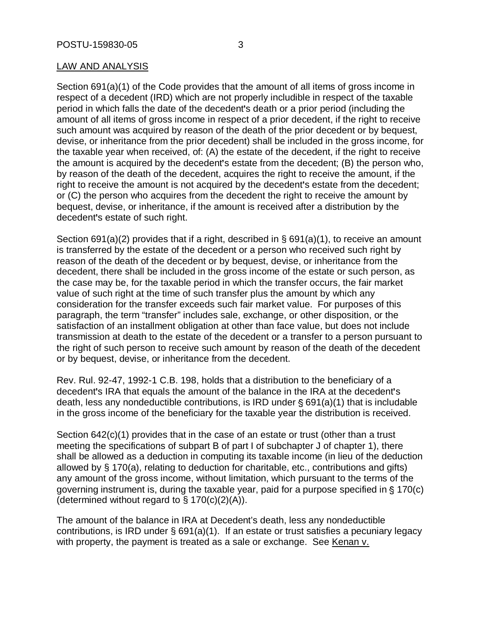#### LAW AND ANALYSIS

Section 691(a)(1) of the Code provides that the amount of all items of gross income in respect of a decedent (IRD) which are not properly includible in respect of the taxable period in which falls the date of the decedent's death or a prior period (including the amount of all items of gross income in respect of a prior decedent, if the right to receive such amount was acquired by reason of the death of the prior decedent or by bequest, devise, or inheritance from the prior decedent) shall be included in the gross income, for the taxable year when received, of: (A) the estate of the decedent, if the right to receive the amount is acquired by the decedent's estate from the decedent; (B) the person who, by reason of the death of the decedent, acquires the right to receive the amount, if the right to receive the amount is not acquired by the decedent's estate from the decedent; or (C) the person who acquires from the decedent the right to receive the amount by bequest, devise, or inheritance, if the amount is received after a distribution by the decedent's estate of such right.

Section 691(a)(2) provides that if a right, described in § 691(a)(1), to receive an amount is transferred by the estate of the decedent or a person who received such right by reason of the death of the decedent or by bequest, devise, or inheritance from the decedent, there shall be included in the gross income of the estate or such person, as the case may be, for the taxable period in which the transfer occurs, the fair market value of such right at the time of such transfer plus the amount by which any consideration for the transfer exceeds such fair market value. For purposes of this paragraph, the term "transfer" includes sale, exchange, or other disposition, or the satisfaction of an installment obligation at other than face value, but does not include transmission at death to the estate of the decedent or a transfer to a person pursuant to the right of such person to receive such amount by reason of the death of the decedent or by bequest, devise, or inheritance from the decedent.

Rev. Rul. 92-47, 1992-1 C.B. 198, holds that a distribution to the beneficiary of a decedent's IRA that equals the amount of the balance in the IRA at the decedent's death, less any nondeductible contributions, is IRD under  $\S$  691(a)(1) that is includable in the gross income of the beneficiary for the taxable year the distribution is received.

Section 642(c)(1) provides that in the case of an estate or trust (other than a trust meeting the specifications of subpart B of part I of subchapter J of chapter 1), there shall be allowed as a deduction in computing its taxable income (in lieu of the deduction allowed by § 170(a), relating to deduction for charitable, etc., contributions and gifts) any amount of the gross income, without limitation, which pursuant to the terms of the governing instrument is, during the taxable year, paid for a purpose specified in  $\S 170(c)$ (determined without regard to  $\S 170(c)(2)(A)$ ).

The amount of the balance in IRA at Decedent's death, less any nondeductible contributions, is IRD under § 691(a)(1). If an estate or trust satisfies a pecuniary legacy with property, the payment is treated as a sale or exchange. See Kenan v.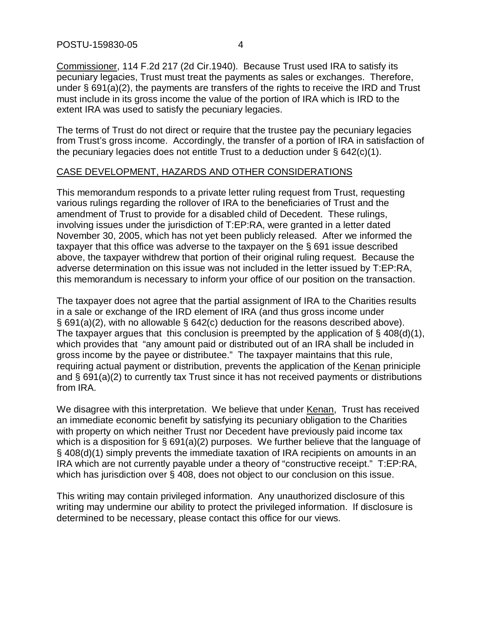POSTU-159830-05 4

Commissioner, 114 F.2d 217 (2d Cir.1940). Because Trust used IRA to satisfy its pecuniary legacies, Trust must treat the payments as sales or exchanges. Therefore, under § 691(a)(2), the payments are transfers of the rights to receive the IRD and Trust must include in its gross income the value of the portion of IRA which is IRD to the extent IRA was used to satisfy the pecuniary legacies.

The terms of Trust do not direct or require that the trustee pay the pecuniary legacies from Trust's gross income. Accordingly, the transfer of a portion of IRA in satisfaction of the pecuniary legacies does not entitle Trust to a deduction under § 642(c)(1).

#### CASE DEVELOPMENT, HAZARDS AND OTHER CONSIDERATIONS

This memorandum responds to a private letter ruling request from Trust, requesting various rulings regarding the rollover of IRA to the beneficiaries of Trust and the amendment of Trust to provide for a disabled child of Decedent. These rulings, involving issues under the jurisdiction of T:EP:RA, were granted in a letter dated November 30, 2005, which has not yet been publicly released. After we informed the taxpayer that this office was adverse to the taxpayer on the § 691 issue described above, the taxpayer withdrew that portion of their original ruling request. Because the adverse determination on this issue was not included in the letter issued by T:EP:RA, this memorandum is necessary to inform your office of our position on the transaction.

The taxpayer does not agree that the partial assignment of IRA to the Charities results in a sale or exchange of the IRD element of IRA (and thus gross income under § 691(a)(2), with no allowable § 642(c) deduction for the reasons described above). The taxpayer argues that this conclusion is preempted by the application of  $\S$  408(d)(1), which provides that "any amount paid or distributed out of an IRA shall be included in gross income by the payee or distributee." The taxpayer maintains that this rule, requiring actual payment or distribution, prevents the application of the Kenan priniciple and § 691(a)(2) to currently tax Trust since it has not received payments or distributions from IRA.

We disagree with this interpretation. We believe that under Kenan, Trust has received an immediate economic benefit by satisfying its pecuniary obligation to the Charities with property on which neither Trust nor Decedent have previously paid income tax which is a disposition for § 691(a)(2) purposes. We further believe that the language of § 408(d)(1) simply prevents the immediate taxation of IRA recipients on amounts in an IRA which are not currently payable under a theory of "constructive receipt." T:EP:RA, which has jurisdiction over § 408, does not object to our conclusion on this issue.

This writing may contain privileged information. Any unauthorized disclosure of this writing may undermine our ability to protect the privileged information. If disclosure is determined to be necessary, please contact this office for our views.